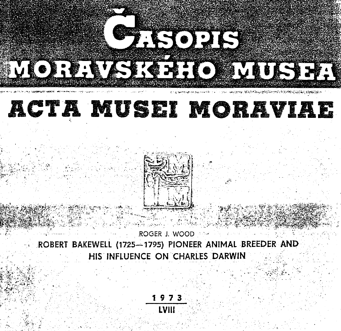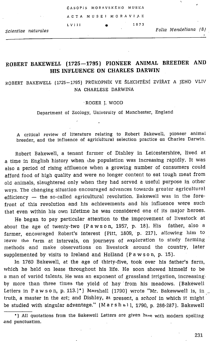|                     |       | ČASOPIS MORAVSKÉHO MUSEA |      |                      |  |
|---------------------|-------|--------------------------|------|----------------------|--|
| $\sim$ 100 $\sim$   |       | ACTA MUSEI MORAVIAE      |      |                      |  |
|                     | LVIII |                          | 1973 | Folia Mendeliana (8) |  |
| Scientiae naturales |       |                          |      |                      |  |

# ROBERT BAKEWELL (1725—1795) PIONEER ANIMAL BREEDER AND HIS INFLUENCE ON CHARLES DARWIN

ROBERT BAKEWELL (1725—1795} PROKOPNIK VE SLECHTENI ZVIRAT A JEHO VLIV NA CHARLESE DARWINA

### 'ROGER J. WOOD

Department of Zoology, University of Manchester, England

A critical review of literature relating to Robert Bakewell, pioneer animal breeder, and the influence of agricultura! selection practice on Charles Darwin.

Robert Bakewell, a tenant farmer of Dishley in Leicestershire, lived at a time in English history when the population was increasing rapidly. It was also a period of rising affluence when a growing number of consumers could afford food of high quality and were no longer content to eat tough meat from old animals, slaughtered only when they had served a useful purpose in other ways. The changing situation encouraged advances towards greater agricultural efficiency — the so-called agricultural revolution. Bakewell was in the forefront of this revolution and his achievements and his influence were such that even within his own lifetime he was considered one of its major heroes.

He began to pay particular attention to the improvement of livestock at about the age of twenty-two (Pawson, 1957, p. 18). His father, also a farmer, encouraged Robert's interest (Pitt, 1809, p. 217]. allowing him to leave the farm at intervals, on journeys of exploration to study farming methods and make observations on livestock around the country, later supplemented by visits to Ireland and Holland (Pawson, p. 15).

In 1760 Bakewell, at the age of thirty-five, took over his father's farm, which he held on Jease throughout his life. He soon showed himself to be a man of varied talents. He was an exponent of grassland irrigation, increasing by more than three times the yield of hay from his meadows. (Bakewell Letters in Pawson, p. 113.)\*) Marshall (1790) wrote "Mr. Bakewwell is, in. truth, a master in the art; and Dishley, at present, a school in which it might be studied with singular advantage." (Marshall, 1790, p. 286-287}. Bakewell

<sup>\*)</sup> All quotations from the Bakewell Letters are given here with modern spelling and punctuation.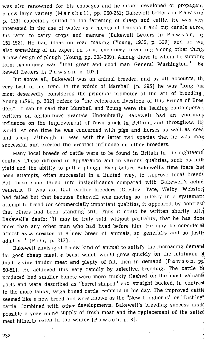was also renowned for his cabbages and he either developed or propagater <sup>a</sup> new large variety (Marshall, pp. 260-261; Bakewell Letters in Paws On  $p_1$  133) especially suited to the fattening of sheep and cattle. He was very interested in the use of water as a means of transport and cut canals acros, his farm to carry crops and manure (Bakewell Letters in Pawson, pp 151-152). He had ideas on road making (Young, 1932, p. 329) and he wa, also something of an expert on farm machinery, inventing among other thing. <sup>a</sup> new design of plough (Young, pp. 308-309). Among those to whom he suppliec farm machinery was "that great and good man General Washington." (Ba kewell Letters in Pawson, p. 107.}

But above all, Bakewell was an animal breeder, and by all accounts, the very best of his time. In the wôrds of Marshall (p. 295) he was "long and most deservedly considered the principal promoter of the art of breeding" Young (1791, p. 302} refers to "the celebrated livestock of this Prince of Bree ders". It can be said that Marshall and Young were the leading contemporary writters on agricultural practice. Undoubtedly Bakewell had an enormou influence on the improvement of farm stock in Britain, and throughout the world. At one time he was concerned with pigs and horses as well as cow and sheep although it was with the latter two species that he was most successful and exerted the greatest influence on other breeders.

Many local breeds of cattle were to be found in Britain in the eighteentt century. These differed in appearance and in various qualities, such as mill yield and the ability to pull a plough. Even before Bakewell's time there ha¢ been attempts, often successful in a limited. way, to improve local breeds But these soon faded into insignificance compared with Bakewell's achie. vements. It was not that earlier breeders (Gresley, Tate, Welby, Webster} had failed but that because Bakewell was moving so quickly in a systematic attempt to breed for commercially important qualities, it appeared, by contrast that others had been standing still. Thus it could be written shortly after Bakewell's death: "it may be truly said, without partiality, that he has done more than any other man who had lived before him. He may be considered almost as a creator of a new breed of animals, so generally. and so justly -admired." (Pitt, p. 217}.

Bakewell envisaged <sup>a</sup> new kind of animal to satisfy the increasing demand for good cheap meat, <sup>a</sup> beast which would grow quickly on the minimum of food, giving tender meat and plenty of fat, then in demand (Pawson, pp 50-51). He achieved this very rapidly by selective. breeding. The cattle he produced had smaller bones, were more thickly fleshed on the most valuable parts and were described as "barrel-shaped" and straight backed, in contrast to the more lanky, large boned cattle common in his day. The improved cattle seemed like a new breed and were known as the "New Longhorns" or "Dishley" cattle. Combined with other developments, Bakewell's breeding success made possible a year round supply of fresh meat and the replacement of the salted meat hitherto eaten in the winter (P awson, p. 8).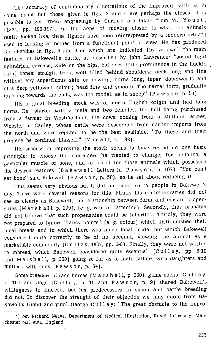The accuracy of contemporary illustrations of the improved cattle is in some doubt but those given in figs. <sup>3</sup> and <sup>4</sup> are perhaps the closest it is possible to get. These engravings by Garrard are taken from W. Youatt (1834, pp. 196-197). In the hope of moving closer to what the animals really looked like, these figures have been reinterpreted by a modern artist\*) used to looking at bodies from <sup>a</sup> functional point of view. He has produced the sketches in figs. <sup>5</sup> and <sup>6</sup> on which are indicated (by arrows) the main features of Bakewell's cattle, as described by John Lawrence: "sound tight cylindrical carcase, wide on the hips, but very little prominence in the huckle <sup>|</sup> {hip) bones; straight back, well filled behind shoulders; neck long and fine without any superfluous skin or dewlap, horns long, taper downwards and of <sup>a</sup> deep yellowish colour; head fine and smooth. The barrel form, graduaily tapering towards the ends, was the model, as in sheep" (Pawson, p. 53).

His original breeding stock was of north English origin and had long horns. He started with <sup>a</sup> male and two females, the bull being purchased from <sup>a</sup> farmer in Westrforland, the cows coming from <sup>a</sup> Midland farmer, Webster of Canley, whose cattle were descended from earlier imports from the north and were reputed to be the best available. "To these and their progeny he confined himself." (Youatt, p. 192).

His success in improving the stock seems to have rested on one basic principle: to choose the characters he wanted to change, for instance, a particular muscle or bone, and to breed for those animals which possessed the desired features (Bakewell Letters in Pawson, p. 107). "You can't eat bone" said Bakewell (P a w s o n, p. 50), so he set about reducing it.

This seems very obvious but it did not seem so to people in Bakewell's day. There were several reasons for this. Firstly his contemporaries did not see as clearly as Bakewell, the relationship between form and certain propensities (Marshall, p. 299), (e. g. rate of fattening). Secondly, they probably. did not believe that such propensities could be inherited. Thirdly, they were not prepared to ignore "fancy points' (e. g. colour) which distinguished their local breeds and.in which there was much local pride; but which Bakewell considered quite correctly to be of no account, viewing the animal as a marketable commodity (Culley, 1807, pp. 6-8). Finally, they were not willing to inbreed, which Bakewell considered quite essential (Culley, pp. 8-10 and. Marshall, p. 300) going so far as to mate fathers with daughters and mothers with sons (Pawson, p. 54).

Some breeders of race horses (Marshall, p. 300), game cocks (Culley, p. 10) and dogs (Culley, p. <sup>10</sup> and Pawson, p. 9) shared Bakewell's willingness to inbreed, but his predecessors in sheep and cattle breeding did not. To discover the strenght of their objection we may quote from Bakewell's friend and pupil.George Culley: "The great obstacle to the impro- 0) and<br>ingness<br>not. To<br>ell's fri

233

<sup>\*)</sup> Mr. Richard Neave, Department of Medical fllustration, Royal Infirmary, Man- .chester M13: 9WL, England.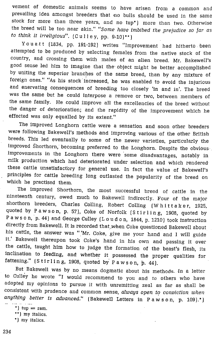vement of domestic animals seems to have arisen from a common and prevailing idea amongst breeders that mo bulls should be used in the same stock for more than three years, and no tup\*} more than two. Otherwise the breed will be too near akin." "Some have imbibed the prejudice so far as to think it irreligious".  $(C \text{ u} \log p, p) = 9-10$ )\*\*)

Youatt (1834, pp. 191-192) writes "Improvement had hitherto. been attempted to be produced by selecting females from the native stock of the<br>country, and crossing them with males of an alien breed. Mr. Bakewell's good sense led him to imagine that the object might be better accomplished<br>by uniting the superior branches of the same breed, than by any mixture of foreign ones." "As his stock increased, he was enabled to avoid the injurious<br>and enervating consequences of breeding too closely 'in and in'. The breed<br>was the same but he could interpose a remove or two, between members the same family. He could improve all the excellencies of the breed without the danger of deterioration; and the rapidity of the improvement which he effected was only equalled by its extent.'

The improved Longhorn cattle were <sup>a</sup> sensation and soon other breeders breeds. This led eventually to some of the newer varieties, particularly the improved Shorthorn, becoming preferred to the Longhorn. Despite the obvious-improvements in the Longhorn there were some disadvantages, notably i

The improved Shorthorn, the most successful breed of cattle in the nineteenth century, owed much to Bakewell indirectly. Four of the major shorthorn breeders, Charles Colling, Robert Colling (W hittaker, 1925, quoted by P his cattle, the answer was "'Mr. Coke, give me your hand and I will guide it.' Bakewell thereupon took Coke's hand in his own and passing it over the cattle, taught him how to judge the formation of the beast's flesh, its

But Bakewell was by no means dogmatic about his methods. In a letter to Culley he wrote "I would recommend to you and to others who have adopted my opinions to pursue it with unremitting zeal as far as shall be consistent with prudence and common sense, *always open to conviction when* anything better is advanced." (Bakewell Letters in Pawson, p. 109).\*)

- \*)  $\tan x = \tan x$ .
- \*\*) my italics.
- \*) my italics.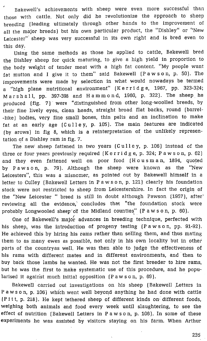e Bakewell's achievements with sheep were even more successful than those with cattle. Not only did he revolutionize the approach to sheep breeding {leading ultimately through other hands to the improvement of all the major breeds) but his own particular product, the "Dishley" or "New Leicester" sheep was very successful in its own right and is bred even to this day.

Using the same methods as those he applied to cattle, Bakewell bred the Dishley sheep for quick maturing, to give a high yield in proportion to the body weight of tender meat with a high fat content. "My people want fat mutton and I give it to them" said Bakewell (Pawson, p. 50). The improvements were made by selection in what would nowadays be termed a "high plane nutritional environment' (Kerridge, 1967, pp. 323-324; Marshall, pp. 397-398 and Hammond, 1960, p. 322). The sheep he produced (fig. 7) were "distinguished from other long-woolled breeds, by their fine lively eyes, clean heads, straight broad flat backs, round (barrel- -like] bodies, very fine small bones, thin pelis and an inclination to make fat at an early age (Culley, p. 105}. The main features are indicated (by arows) in fig 8, which is a reinterpretation of the unlikely representation of a Dishley ram in fig. 7.

The new sheep fattened in two years  $[Cul]$ ey, p. 106) instead of the three or four years previously required (Kerridge, p. 324; Pawson, p. 62} and they even fattened well on poor food (Housman, 1894, quoted by Pawson, p. 79). Although the sheep were known as the "New Leicesters", this was a misnomer, as pointed out by Bakewell himself in a letter to Culley {Bakewell Letters in Pawson, p. 121) clearly his foundation stock were not restricted to sheep from Leicestershire. In fact the origin of the "New Leicester " breed is still in doubt although Pawson (1957), after' reviewing all the evidence, concludes that "the foundation stock were probably Longwooled sheep of the Midland counties" (Pawson, p. 60).

One of Bakewell's major advances in breeding technique, perfected with his sheep, was the introduction of progeny testing (Pawson, pp. 91-92). He achieved this by hiring his rams rather than selling them, and thus mating them to as many ewes as possible, not only in his own locality but in other parts of the countryas well. He was then able to judge the effectiveness of his rams with different mates and in different environments, and then to buy back those lambs he wanted. He was not the first breeder to hire rams, but he was the first to make systematic use of this procedure, and he popularised it against much initial opposition (Pawson, p. 69).

Bakewell carried out investigations on his sheep (Bakewell Letters in Pawson, p. 106) which went well beyond anything he had done with cattle {Pitt, p. 218). He kept tethered sheep of different kinds on-different foods, weighing both animals and food every week until slaughtering, to see the effect of nutrition (Bakewell Letters in Pawson, p. 106). In some of these experiments he was assisted by visitors staying on his farm. When Arthur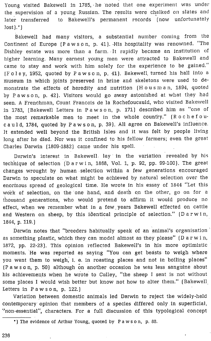Young visited Bakewell in 1785, he noted that one experiment was under the supervision of <sup>a</sup> young Russian. The results were chalked on slates and later transferred to Bakewell's permanent records (now unfortunately  $lost).$ "

Bakewell had many visitors, <sup>a</sup> substantial number coming from the Continent of Europe (Pawson, p. 41}. His hospitality was renowned. "The Dishley estate was more than a farm.-It rapidly became an institution of higher learning. Many earnest young men were attracted to Bakewell and came to stay and work with him solely for the experience to be gained." (Foley, 1952, quoted by Pawson, p. 41). Bakewell, turned his hall into <sup>a</sup> museum in which joints preserved in brine and skeletons were used to demonstrate the effects of heredity and nutrition (Housman, 1894, quoted by Pawson, p. 42]. Visitors would go away astonished at what they had seen. A Frenchman, Count Francois de la Rochefoucauld, who visited Bakewell in 1783, (Bakewell Letters in Pawson, p. 171] described him as "one of the most rémarkable men to meet in the whole country." (Rochefoucauld, 1784, quoted by <sup>P</sup> awson, p. 39). All agree on Bakewell's influence. It extended well beyond the British Isles and it was felt by people living long after he died. Nor was it confined to his fellow farmers; even the great Charles Darwin {1809-1882} came under his spell.

Darwin's interest in Bakewell. lay in the variation revealed by his technique of selection (Darwin, 1868, Vol. 1, p. 92, pp. 99-100}. The great changes wrought by human -selection within a few generations encouraged Darwin to speculate on what might be achieved by natural selection over the enormous spread of geological time. He wrote in his essay of 1844 "Let this work of selection, on the one hand, and death on the other, go on for a thousand generations, who would pretend to affirm it would produce no effect, when we remember what in a few. years Bakewell effected on cattle and Western on sheep, by this identical principle of selection." (Darwin, 1844, p. 119.)

Darwin notes that "breeders habitually speak of an animal's organisation ' as something plastic, which they can model almost as they please" (Darwin, 1872, pp. 22-23). This opinion reflected Bakewell's in his more optimistic moments. He was reported as saying "You can get beasts to weigh where you want them to weigh, i. e. in roasting places and not in boiling places" (Pawson, p. 50) although on another occasion he was less sanguine about his achievements when he wrote to Culley, "the sheep <sup>I</sup> sent is not without some places I would wish better but know not how to alter them." (Bakewell Letters in  $Pawson$ , p. 122.

Variation between domestic animals led Darwin to reject the widely-held contemporary opinion that members of a species differed only in superficial, "non-essential", characters. For a full discussion of this typological concept

<sup>\*)</sup> The evidence of Arthur Young, quoted by Pawson, p. 88.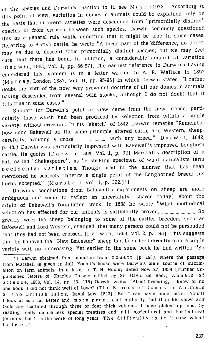of the species and Darwin's reaction to it, see Mayr (1972). According to this point of view, variation in domestic animals could be explained only on the basis that different varieties were descended from "primordially distinct" species or from crosses between such species. Darwin seriously questioned this as a general rule while admitting that it might be true in some cases. Referring to British cattle, he wrote "A large part of the 'difference, no doubt, may be due to descent from primordially distinct species; but we may feel sure that there has been, in addition, <sup>a</sup> considerable amount of variation (Darwin, 1868, Vol. 1, pp. 86-87). The earliest reference to Darwin's having considered this problem is in <sup>a</sup> letter written to A. R. Wallace in <sup>1857</sup> (Murray, London 1887, Vol. I, pp. 95-96) in which Darwin states. "I rather doubt the truth of the now very prevalent doctrine of all our domestic animals having descended from several wild stocks; although <sup>I</sup> do not doubt that it it is true in some cases."

Support for Darwin's point of view came from the new breeds, particularly those which had been produced by selection from within <sup>a</sup> single variety, without crossing. In his "sketch" of 1842, Darwin remarks "Remember how soon Bakewell on the same principle altered cattle and Western, sheepcarefully, avoiding a cross ......................... with any breed." Darwin, 1842, p. 48.] Darwin was particularly impressed with Bakewell's improved Longhorn cattle. He quotes [Darwin, 1868, Vol. 1, p. 92) Marshall's description of <sup>a</sup> bull called "Shakespeare", as "a striking specimen of what naturalists term accidental varieties. Though bred in the manner that has been mentioned he scarcely inherits <sup>a</sup> single point of the Longhorned breed; his horns excepted." (Marshall, Vol. 1, p. 322.)\*)

Darwin's conclusions from Bakewell's experiments on sheep are more ambiguous and seem to reflect an uncertainty (shared today) about the origin of Bakewell's foundation stock. In 1868 he wrote "What methodical selection has effected for our animals is sufficiently proved, ............................... So greatly were the sheep belonging to some of the earlier breeders such as Bakewell and Lord Western, changed, that many persons could not be persuaded 'hat they had not been crossed. (Darwin, 1868, Vol. 2, p. 198). This suggests that he believed the "New Leicester" sheep had been bred directly from a single variety with no outcrossing. Yet earlier in the same book he had written "So

\*) Darwin obtained this quotation from Youatt (p. 193), where the passage from Marshall is given in full. Youatt's books were Darwin's main source of information on farm animals. In a letter to T. H. Huxley dated Nov. 27, 1859 (Further unpublished letters of Charles Darwin edited by Sir Gavin de Beer, Annals of Science, 1958, Vol. 14, pp. 83—115) Darwin writes "About breeding, <sup>I</sup> know of no one book. <sup>I</sup> did not think well of Lowe" (The Breeds of Domestic Animals of the British Isles, David Low, 1842) "But <sup>I</sup> can name none better. Youatt <sup>1</sup> look at as <sup>a</sup> far better and more practical authority; but then his views and facts are scattered through three or four thick volumes. <sup>I</sup> have picked up most by reading really numberless special treatises and all agricultural and horticultural journals; but it is the work of long years. The difficulty is to know what to trust."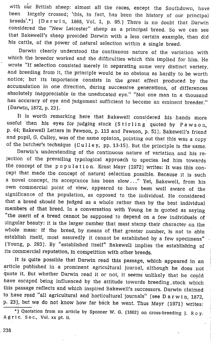with our British sheep: almost all the races, except the Southdown, have<br>been largely crossed; 'this, in fact, has been the history of our principal been largely crossed; 'this, in fact, has been the history of our principal breeds'.\*) (Darwin, 1868, Vol. 1, p. 95.) There is no doubt that Darwin considered the "New Leicester" sheep as a principal breed. So we can see that Bakewell's sheep provided Darwin with <sup>a</sup> less certain example, than did his cattle, of the power of natural selection within <sup>a</sup> single breed.

Darwin clearly understood the continuous nature of the variation with which the breeder worked and the difficulties which this implied for him. He wrote "If selection consisted merely in separating some very distinct variety. and breeding from it, the principle would be so obvious as hardly to be worth notice; but its importance consists in the great effect produced by the accumulation in one direction, during successive generations, of differences absolutely inappreciable to the uneducated eye." "Not one man in a thousand has accuracy of eye and judgement sufficient to become an eminent breeder." (Darwin, 1872, p. 23)..

It is worth remarking here that Bakewell considered his hands more useful 'than his eyes for judging stock (Stirling quoted by Pawson, p. 44; Bakewell Letters in Pawson, p. 113 and Pawson, p. 51}. Bakewell's friend and pupil, G. Culley, was of the same opinion, pointing out that this was <sup>a</sup> copy of the butcher's technique  $(Cu)$  iev, pp. 13-15). But the principle is the same.

Darwin's understanding of the continuous nature of variation and his rejection of the prevailing typological approach to species led him towards the concept of the population. Ernst Mayr (1972) writes: It was this con-<br>cept that made the concept of natural selection possible. Because it is such a novel concept, its acceptance has been slow..." Yet, Bakewell, from his own commercial point of view, appeared to have been well aware. of the significance of the population, as opposed to the individual. He considered that <sup>a</sup> breed should be judged as <sup>a</sup> whole rather than by the best individual members of that breed. In a conversation with Young he is quoted as saying "the merit of <sup>a</sup> breed cannot be supposed to depend on <sup>a</sup> few individuals of whole mass: if the breed, by means of that greater number, is not to able establish itself, most assuredly it cannot be established by a few specimens" (Young, p. 293). By "established itself" Bakewell implies the establishing of its commercial reputation, in competition with other breeds.

It is quite possible that Darwin read this passage, which appeared in an article published in a prominent agricultural journal, although he does not quote it. But whether Darwin read it or not, it seems unlikely that he could have escaped being influenced by the attitude towards breeding .stock which this passage reflects and which inspired Bakewell's successors. Darwin claimed to have read "all agricultural and horticultural journals" (see Darwin, 1872, p. 23), but we do not know how far back he went. Thus Mayr (1971) writes:

\*) Quotation from an article by Spooner W. G. (1862) on cross-breeding J. Ro y. Agric. Soc., Vol. xx pt. ii.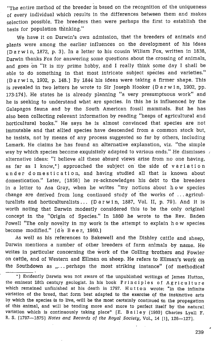"The entire method of the breeder is based on the recognition of the uniqueness of every individual which results in the differences between them and makes selection possible. The breeders then were perhaps the first to establish the basis for population thinking."

We have it on Darwin's own admission, that the breeders of animals and plants were among the earlier influences on the development of his ideas (Darwin, 1872, p. 3). In a letter to his cousin Wiliam Fox, written in 1838, Darwin thanks Fox for answering some questions about the crossing of animals, and goes on "It is my prime hobby, and I really think some day I shall be able to do something in that most intricate subject species and varieties." (Darwin, 1902, p. 148.) By 1844 his ideas were taking a firmer shape. This is revealed in two letters he wrote to Sir Joseph Hooker (Darwin, 1902, pp. 173-174]. He states he is already planning "a very presumptuous work" and he is seeking to understand what are species. In this he is influenced by the Galapagos fauna and by the South American fossil mammals. But he has also been collecting relevant information by reading "heaps of agricultural and horticultural books.' He says he is almost convinced that species are not immutable and that allied species have descended from a common stock but, he insists, not by means of any process suggested so far by others, including Lamark. He claims he has found an alternative explanation, viz. "the simple way by which species become exquisitely adapted to various ends." He dismisses alternative ideas: "I believe all these absurd views arise from no one having, as far as I know,\*) approached the subject on the side of variation under domestication, and having studied all that is known about domestication." Later, (1856) he re-acknowledges his debt to the breeders in a letter to Asa Gray, when he writes "my notions about how species change are derived from long continued study of the works of ... agriculturalists and horticulturalists... (Darwin, 1887, Vol. IH, p. 79). And it is worth noting that Darwin modestly considered this to be the only original concept in the "Origin of Species." In 1860 he wrote to the Rev. Baden Powell "The only novelty in my work is the attempt to explain how species. become modified."  $\lceil d \rceil$  B e e r, 1960.)

As well as his references to Bakewell and the Dishley cattle and sheep, Darwin mentions a number of other breeders of farm animals by name. He writes in particular concerning the work of the Colling 'brothers and Fowler on cattle, and of Western and Ellman on sheep. He refers to Ellman's work on the Southdown as ,,... perhaps the most striking instance" (of methodical

<sup>\*)</sup> Evidently Darwin was not aware of the unpublished writings of James Hutton, the eminent 18th century geologist. In his book Principles of Agriculture which remained unfinished at his death in 1797. Hutton wrote: "in the infinite variation of the breed, that form best adapted to the exercise of the instinctive arts by which the species is to live, will be the most certainly continued in the propagation of this animal, and will be tending more and more to perfect itself by the natural, variation which is continuously taking place" [E. Bailey (1960) Charles Lyall F. R. S. (1797--1875) Notes and Records of the Royal Society, Vol., 14 (i), 126--127].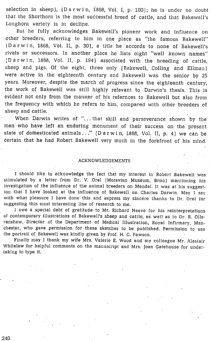selection in sheep), (Darwin, 1868, Vol. I, p. 100}; he is under no doubt that the Shorthorn is the most successful breed of cattle, and that Bakewell's Longhorn variety is in decline.

But he fully acknowledges Bakewell's pioneer work and influence on other breeders, referring to him in one place as "the famous Bakewell" iDarwin, 1868, Vol. II, p. 30), <sup>a</sup> title he accords to none of Bakewell's rivals or successors. In another place he lists eight 'well known names' (Darwin, 1868, Vol. II, p. 194} associated with the breeding of cattle, sheep and pigs. Of the eight, three only (Bakewell, Colling and Ellman) were active in the eighteenth century and Bakewell was the senior by <sup>25</sup> years. Moreover, despite the march of progress since the eighteenth century, the work of Bakewell was still highly relevant to Darwin's thesis. This is evident not only from the manner of his refernces to Bakewell but also from the frequency with which he refers to him, compared with other breeders of sheep and 'cattle.

When Darwin writes of "...that skill and perseverance shown by the men who have left an enduring monument of their success on the present state of domesticated animals..." (Darwin, 1868, Vol. HI, p. 4) we can be certain that he had Robert Bakewell very much in the forefront of his mind.

### ACKNOWLEDGEMENTS

I should like to acknowledge the fact that my interest in Robert Bakewell was stimulated by a letter from Dr. V. Orel (Moravian Museum, Brno} mentioning his investigation of the influence of the animal breeders on Mendel. It was at his suggestion that I have looked at the influence of Bakewell on Charles Darwin. May I say with what pleasure I have done this and express my sincere thanks to Dr: Orel for suggesting this most interesting line of research to me.

I owe a special debt of gratitude to Mr. Richard Neave for his reinterpretations of contemporary illustrations of Bakewell's sheep and cattle, as well as to Dr. R. Ollerenshaw, Director of the Department of Medical Illustration, Royal Infirmary, Man- 'chester, who gave permission for these sketches to be published. Permission to use the portrait of Bakewell was kindly given by Prof. H. C. 'Pawson.

Finally may I thank my Wife Mrs. Valerie E. Wood and my colleague Mr. Alastair Whitelaw for helpful comments on the manuscript and Mrs. Joan Gatehouse for undertaking to type it.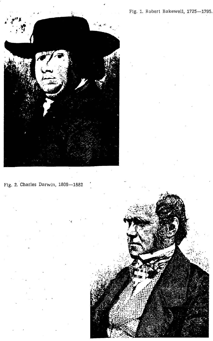Fig. 1. Robert Bakewell, 1725—1795.



Fig. 2, Charles Darwin, 1809—1882 '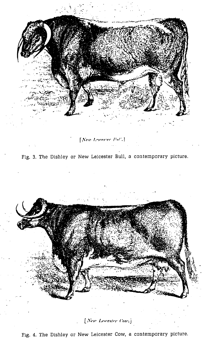

[New Lewester Pal',]

Fig. 3. The Dishley or New Leicester Bull, <sup>a</sup> contemporary picture.



## [ New Lewester Cow]

Fig. 4. The Dishley or New Leicester Cow, a contemporary picture.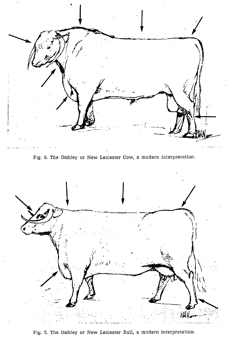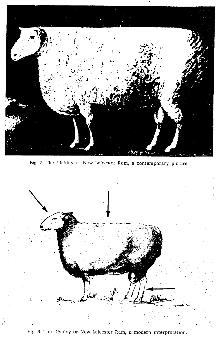

Fig. 7. The Dishley or New Leicester Ram, a contemporary picture.



Fig. 8. The Dishley or New Leicester Ram, a modern interpretation.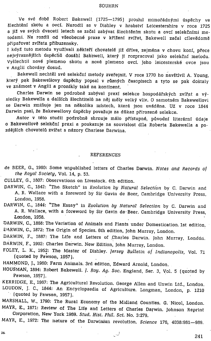#### SOUHRN

Ve své době Robert Bakewell (1725–1795) proslul mimořádnými úspěchy ve Slechténi skotu a ovci. Narodil se v Dishley v hrabstvf Leicestershire v roce 1725 a již ve svých dvaceti letech se začal zabývat šlechtěním skotu a ovcí selekčními metodami. Na rozdíl od všeobecné praxe v křížení zvířat, Bakewell začal cílevědomě připařovat zvířata příbuzensky.

I když tuto metodu využívali někteří chovatelé již dříve, zejména v chovu koní, přece nejvýraznějších úspěchů dosáhl Bakewell, který ji rozpracoval jako selekční metodu. VySlechtil nové plemeno skotu a nové plemeno ovci. Jeho leicesterské ovce jsou v Anglii chovany dosud.

Bakewell nechtěl své selekční metody zveřejnit. V roce 1770 ho navštívil A. Young, který pak Bakewellovy úspěchy popsal v různých časopisech a tyto se pak dostaly ve známost v Anglii a pronikly také na kontinent.

Charles Darwin se podrobně zabýval praxí selekce hospodářských zvířat a výsledky Bakewella a dalSich Slechtiteli na néj mély velky vliv. O samotném Bakewellovi se Darwin zmiňuje jen na několika místech, která jsou uváděna. Už v roce 1844 Darwin psal, že Bakewellovy úspěchy považuje za důkaz přirozené selekce.

Autor v této studii podrobně shrnuje málo přístupné, původní literární údaje o Bakewellové selekéni praxi a poukazuje na souvislost dila Roberta Bakewella a pozdějších chovatelů zvířat s názory Charlese Darwina.

### REFERENCES

- de BEER, G., 1960: Some unpublished letters of Charles Darwin. Notes and Records of the Royal Society, Vol. 14, p. 53.
- CULLEY, G., 1807: Observations on Livestock. 4th edition.
- DARWIN, C., 1842: "The Sketch" in Evolution by Natural Selection by C. Darwin and A. R. Wallace with a foreword by Sir Gavin de Beer, Cambridge University Press, London, 1958.
- DARWIN, C., 1844: "The Essay" in Evolution by Natural Selection by C. Darwin and A. R. Wallace, with a foreword by Sir Gavin de: Beer. Cambridge University Press, London, 1958.
- DARWIN, C., 1868: The Variation of Animals and Plants under Domestication. 1st edition. DARWIN,C., 1872: The Origin of Species. 6th edition, John Murray, London.
- DARWIN, F., 1887: The Life and Letters of Charles Darwin. John Murray, London. DARWIN, F., 1902: Charles Darwin. New Edition, John Murray, London.
- FOLEY, L. K., 1952: The Master of Dishley. Jersey Bulletin. of Indianopolis, Vol. <sup>71</sup> (quoted by Pawson, 1957).
- HAMMOND, J., 1960: Farm Animals. 3rd edition, Edward Arnold, London.
- HOUSMAN, 1894: Robert Bakewell. *J. Roy. Ag. Soc. England*, Ser. 3, Vol. 5 (quoted by Pawson, 1957}.
- KERRIDGE, E., 1967: The Agricultural Revolution. George Allen and Unwin Ltd., London. LOUDON, J. C., 1844: An Encyclopaedia of Agriculture. Longman, London, p. 1210  $\cdot$  (quoted by Pawson, 1957).
- MARSHALL, W., 1790: The Rural Economy of the Midland Counties. G. Nicol, London.<br>MAYR, E., 1971: Review of The Life and Letters of Charles Darwin. Johnson Reprint<br>Corporation, New York 1969. Stud. Hist. Phil. Sci. No. 3:27

 $\sim$  241  $\sim$  241